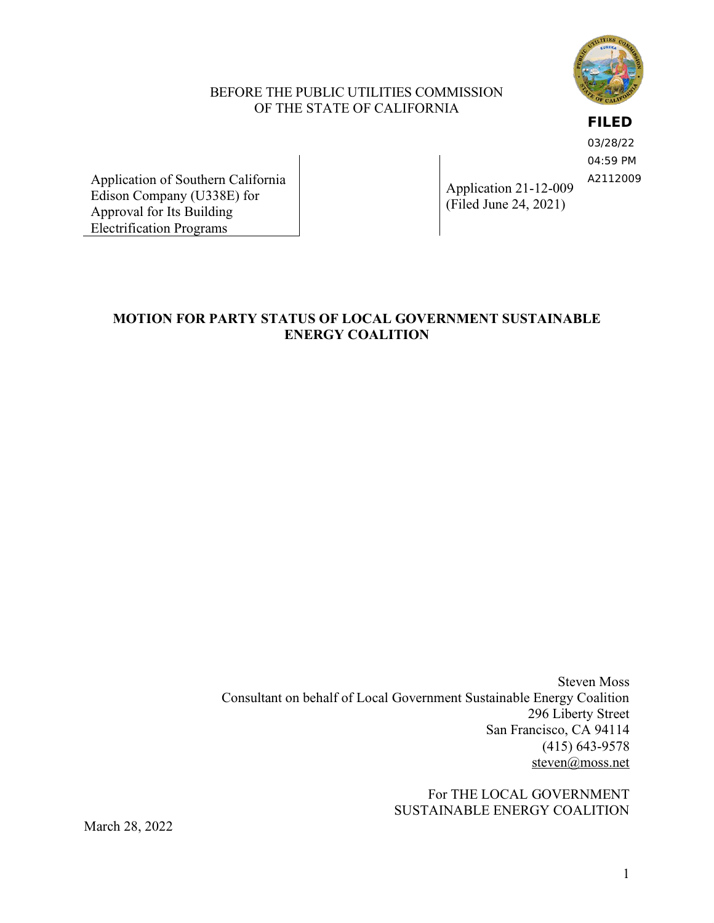

### BEFORE THE PUBLIC UTILITIES COMMISSION OF THE STATE OF CALIFORNIA

**FILED**

03/28/22 04:59 PM A2112009

Application of Southern California Edison Company (U338E) for Approval for Its Building Electrification Programs

Application 21-12-009 (Filed June 24, 2021)

# **MOTION FOR PARTY STATUS OF LOCAL GOVERNMENT SUSTAINABLE ENERGY COALITION**

Steven Moss Consultant on behalf of Local Government Sustainable Energy Coalition 296 Liberty Street San Francisco, CA 94114 (415) 643-9578 [steven@moss.net](mailto:steven@moss.net)

> For THE LOCAL GOVERNMENT SUSTAINABLE ENERGY COALITION

March 28, 2022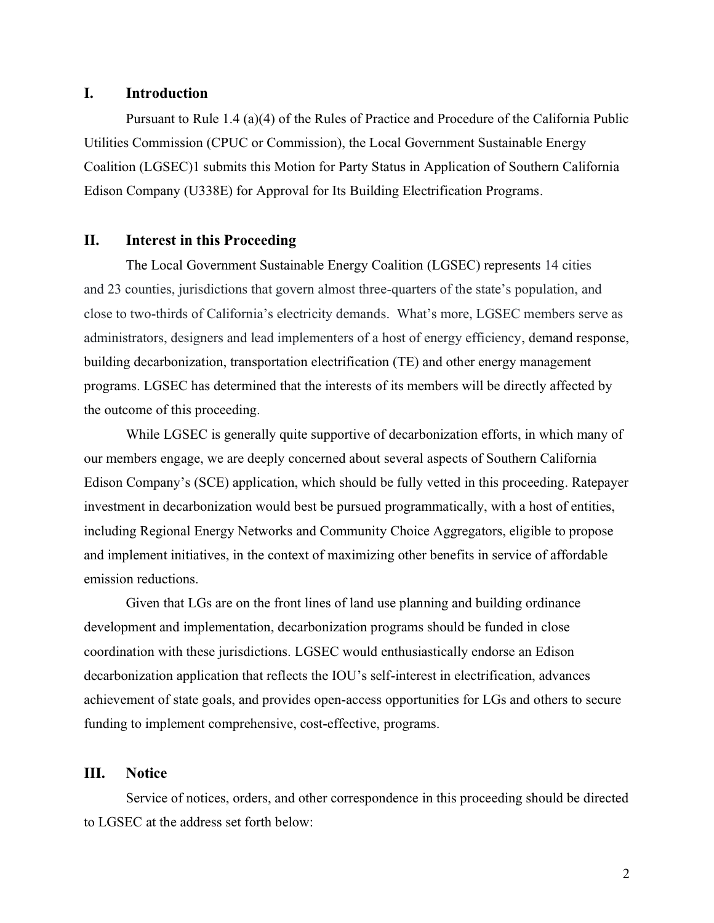### **I. Introduction**

Pursuant to Rule 1.4 (a)(4) of the Rules of Practice and Procedure of the California Public Utilities Commission (CPUC or Commission), the Local Government Sustainable Energy Coalition (LGSEC)1 submits this Motion for Party Status in Application of Southern California Edison Company (U338E) for Approval for Its Building Electrification Programs.

### **II. Interest in this Proceeding**

The Local Government Sustainable Energy Coalition (LGSEC) represents 14 cities and 23 counties, jurisdictions that govern almost three-quarters of the state's population, and close to two-thirds of California's electricity demands. What's more, LGSEC members serve as administrators, designers and lead implementers of a host of energy efficiency, demand response, building decarbonization, transportation electrification (TE) and other energy management programs. LGSEC has determined that the interests of its members will be directly affected by the outcome of this proceeding.

While LGSEC is generally quite supportive of decarbonization efforts, in which many of our members engage, we are deeply concerned about several aspects of Southern California Edison Company's (SCE) application, which should be fully vetted in this proceeding. Ratepayer investment in decarbonization would best be pursued programmatically, with a host of entities, including Regional Energy Networks and Community Choice Aggregators, eligible to propose and implement initiatives, in the context of maximizing other benefits in service of affordable emission reductions.

Given that LGs are on the front lines of land use planning and building ordinance development and implementation, decarbonization programs should be funded in close coordination with these jurisdictions. LGSEC would enthusiastically endorse an Edison decarbonization application that reflects the IOU's self-interest in electrification, advances achievement of state goals, and provides open-access opportunities for LGs and others to secure funding to implement comprehensive, cost-effective, programs.

#### **III. Notice**

Service of notices, orders, and other correspondence in this proceeding should be directed to LGSEC at the address set forth below: